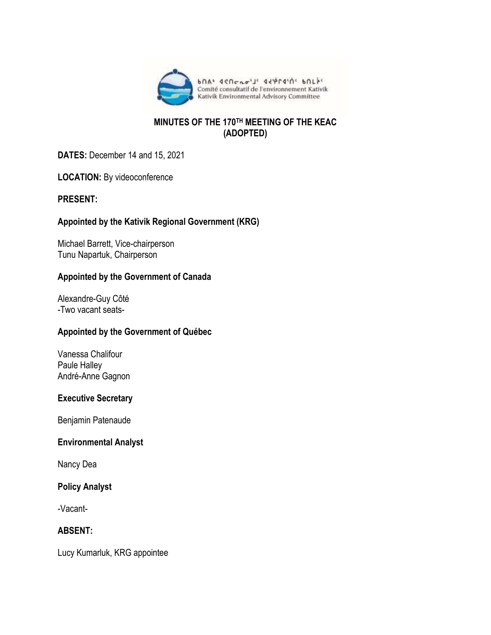

### **MINUTES OF THE 170TH MEETING OF THE KEAC (ADOPTED)**

**DATES:** December 14 and 15, 2021

**LOCATION:** By videoconference

### **PRESENT:**

# **Appointed by the Kativik Regional Government (KRG)**

Michael Barrett, Vice-chairperson Tunu Napartuk, Chairperson

### **Appointed by the Government of Canada**

Alexandre-Guy Côté -Two vacant seats-

### **Appointed by the Government of Québec**

Vanessa Chalifour Paule Halley André-Anne Gagnon

#### **Executive Secretary**

Benjamin Patenaude

#### **Environmental Analyst**

Nancy Dea

### **Policy Analyst**

-Vacant-

### **ABSENT:**

Lucy Kumarluk, KRG appointee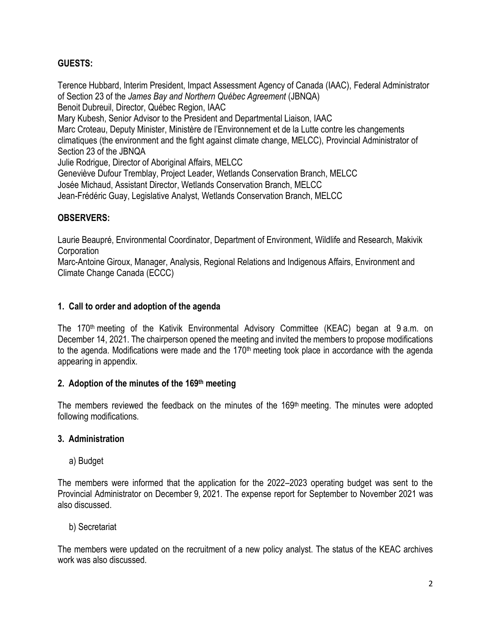# **GUESTS:**

Terence Hubbard, Interim President, Impact Assessment Agency of Canada (IAAC), Federal Administrator of Section 23 of the *James Bay and Northern Québec Agreement* (JBNQA) Benoit Dubreuil, Director, Québec Region, IAAC Mary Kubesh, Senior Advisor to the President and Departmental Liaison, IAAC Marc Croteau, Deputy Minister, Ministère de l'Environnement et de la Lutte contre les changements climatiques (the environment and the fight against climate change, MELCC), Provincial Administrator of Section 23 of the JBNQA Julie Rodrigue, Director of Aboriginal Affairs, MELCC Geneviève Dufour Tremblay, Project Leader, Wetlands Conservation Branch, MELCC Josée Michaud, Assistant Director, Wetlands Conservation Branch, MELCC Jean-Frédéric Guay, Legislative Analyst, Wetlands Conservation Branch, MELCC

### **OBSERVERS:**

Laurie Beaupré, Environmental Coordinator, Department of Environment, Wildlife and Research, Makivik **Corporation** 

Marc-Antoine Giroux, Manager, Analysis, Regional Relations and Indigenous Affairs, Environment and Climate Change Canada (ECCC)

### **1. Call to order and adoption of the agenda**

The 170<sup>th</sup> meeting of the Kativik Environmental Advisory Committee (KEAC) began at 9 a.m. on December 14, 2021. The chairperson opened the meeting and invited the members to propose modifications to the agenda. Modifications were made and the 170<sup>th</sup> meeting took place in accordance with the agenda appearing in appendix.

#### **2. Adoption of the minutes of the 169 th meeting**

The members reviewed the feedback on the minutes of the 169<sup>th</sup> meeting. The minutes were adopted following modifications.

#### **3. Administration**

a) Budget

The members were informed that the application for the 2022–2023 operating budget was sent to the Provincial Administrator on December 9, 2021. The expense report for September to November 2021 was also discussed.

b) Secretariat

The members were updated on the recruitment of a new policy analyst. The status of the KEAC archives work was also discussed.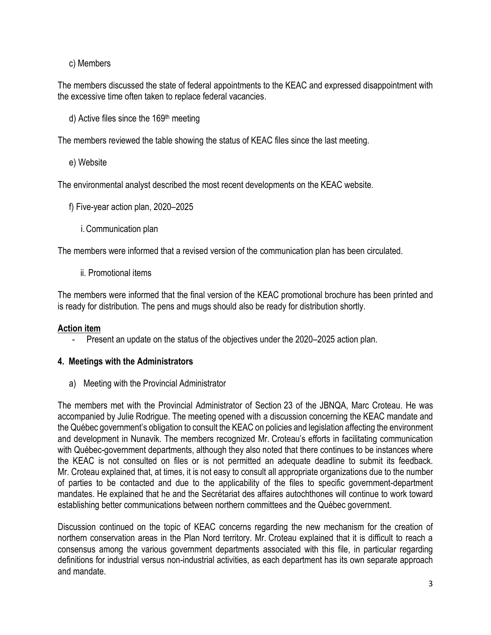# c) Members

The members discussed the state of federal appointments to the KEAC and expressed disappointment with the excessive time often taken to replace federal vacancies.

d) Active files since the 169<sup>th</sup> meeting

The members reviewed the table showing the status of KEAC files since the last meeting.

e) Website

The environmental analyst described the most recent developments on the KEAC website.

- f) Five-year action plan, 2020–2025
	- i.Communication plan

The members were informed that a revised version of the communication plan has been circulated.

ii. Promotional items

The members were informed that the final version of the KEAC promotional brochure has been printed and is ready for distribution. The pens and mugs should also be ready for distribution shortly.

### **Action item**

- Present an update on the status of the objectives under the 2020–2025 action plan.

### **4. Meetings with the Administrators**

a) Meeting with the Provincial Administrator

The members met with the Provincial Administrator of Section 23 of the JBNQA, Marc Croteau. He was accompanied by Julie Rodrigue. The meeting opened with a discussion concerning the KEAC mandate and the Québec government's obligation to consult the KEAC on policies and legislation affecting the environment and development in Nunavik. The members recognized Mr. Croteau's efforts in facilitating communication with Québec-government departments, although they also noted that there continues to be instances where the KEAC is not consulted on files or is not permitted an adequate deadline to submit its feedback. Mr. Croteau explained that, at times, it is not easy to consult all appropriate organizations due to the number of parties to be contacted and due to the applicability of the files to specific government-department mandates. He explained that he and the Secrétariat des affaires autochthones will continue to work toward establishing better communications between northern committees and the Québec government.

Discussion continued on the topic of KEAC concerns regarding the new mechanism for the creation of northern conservation areas in the Plan Nord territory. Mr. Croteau explained that it is difficult to reach a consensus among the various government departments associated with this file, in particular regarding definitions for industrial versus non-industrial activities, as each department has its own separate approach and mandate.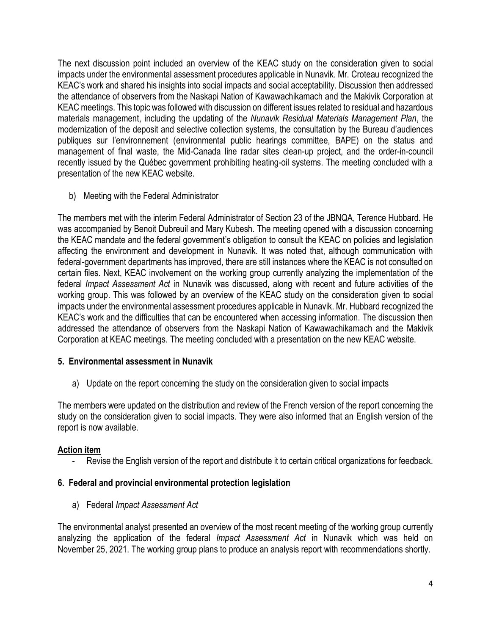The next discussion point included an overview of the KEAC study on the consideration given to social impacts under the environmental assessment procedures applicable in Nunavik. Mr. Croteau recognized the KEAC's work and shared his insights into social impacts and social acceptability. Discussion then addressed the attendance of observers from the Naskapi Nation of Kawawachikamach and the Makivik Corporation at KEAC meetings. This topic was followed with discussion on different issues related to residual and hazardous materials management, including the updating of the *Nunavik Residual Materials Management Plan*, the modernization of the deposit and selective collection systems, the consultation by the Bureau d'audiences publiques sur l'environnement (environmental public hearings committee, BAPE) on the status and management of final waste, the Mid-Canada line radar sites clean-up project, and the order-in-council recently issued by the Québec government prohibiting heating-oil systems. The meeting concluded with a presentation of the new KEAC website.

b) Meeting with the Federal Administrator

The members met with the interim Federal Administrator of Section 23 of the JBNQA, Terence Hubbard. He was accompanied by Benoit Dubreuil and Mary Kubesh. The meeting opened with a discussion concerning the KEAC mandate and the federal government's obligation to consult the KEAC on policies and legislation affecting the environment and development in Nunavik. It was noted that, although communication with federal-government departments has improved, there are still instances where the KEAC is not consulted on certain files. Next, KEAC involvement on the working group currently analyzing the implementation of the federal *Impact Assessment Act* in Nunavik was discussed, along with recent and future activities of the working group. This was followed by an overview of the KEAC study on the consideration given to social impacts under the environmental assessment procedures applicable in Nunavik. Mr. Hubbard recognized the KEAC's work and the difficulties that can be encountered when accessing information. The discussion then addressed the attendance of observers from the Naskapi Nation of Kawawachikamach and the Makivik Corporation at KEAC meetings. The meeting concluded with a presentation on the new KEAC website.

### **5. Environmental assessment in Nunavik**

a) Update on the report concerning the study on the consideration given to social impacts

The members were updated on the distribution and review of the French version of the report concerning the study on the consideration given to social impacts. They were also informed that an English version of the report is now available.

### **Action item**

Revise the English version of the report and distribute it to certain critical organizations for feedback.

### **6. Federal and provincial environmental protection legislation**

a) Federal *Impact Assessment Act*

The environmental analyst presented an overview of the most recent meeting of the working group currently analyzing the application of the federal *Impact Assessment Act* in Nunavik which was held on November 25, 2021. The working group plans to produce an analysis report with recommendations shortly.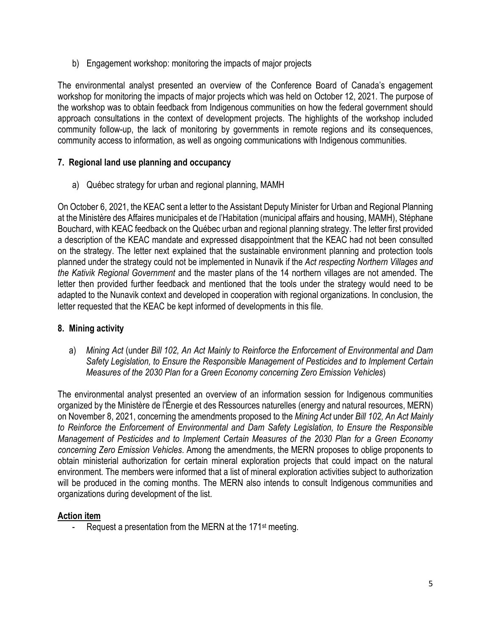b) Engagement workshop: monitoring the impacts of major projects

The environmental analyst presented an overview of the Conference Board of Canada's engagement workshop for monitoring the impacts of major projects which was held on October 12, 2021. The purpose of the workshop was to obtain feedback from Indigenous communities on how the federal government should approach consultations in the context of development projects. The highlights of the workshop included community follow-up, the lack of monitoring by governments in remote regions and its consequences, community access to information, as well as ongoing communications with Indigenous communities.

# **7. Regional land use planning and occupancy**

a) Québec strategy for urban and regional planning, MAMH

On October 6, 2021, the KEAC sent a letter to the Assistant Deputy Minister for Urban and Regional Planning at the Ministère des Affaires municipales et de l'Habitation (municipal affairs and housing, MAMH), Stéphane Bouchard, with KEAC feedback on the Québec urban and regional planning strategy. The letter first provided a description of the KEAC mandate and expressed disappointment that the KEAC had not been consulted on the strategy. The letter next explained that the sustainable environment planning and protection tools planned under the strategy could not be implemented in Nunavik if the *Act respecting Northern Villages and the Kativik Regional Government* and the master plans of the 14 northern villages are not amended. The letter then provided further feedback and mentioned that the tools under the strategy would need to be adapted to the Nunavik context and developed in cooperation with regional organizations. In conclusion, the letter requested that the KEAC be kept informed of developments in this file.

# **8. Mining activity**

a) *Mining Act* (under *Bill 102, An Act Mainly to Reinforce the Enforcement of Environmental and Dam Safety Legislation, to Ensure the Responsible Management of Pesticides and to Implement Certain Measures of the 2030 Plan for a Green Economy concerning Zero Emission Vehicles*)

The environmental analyst presented an overview of an information session for Indigenous communities organized by the Ministère de l'Énergie et des Ressources naturelles (energy and natural resources, MERN) on November 8, 2021, concerning the amendments proposed to the *Mining Act* under *Bill 102, An Act Mainly to Reinforce the Enforcement of Environmental and Dam Safety Legislation, to Ensure the Responsible Management of Pesticides and to Implement Certain Measures of the 2030 Plan for a Green Economy concerning Zero Emission Vehicles*. Among the amendments, the MERN proposes to oblige proponents to obtain ministerial authorization for certain mineral exploration projects that could impact on the natural environment. The members were informed that a list of mineral exploration activities subject to authorization will be produced in the coming months. The MERN also intends to consult Indigenous communities and organizations during development of the list.

# **Action item**

Request a presentation from the MERN at the 171<sup>st</sup> meeting.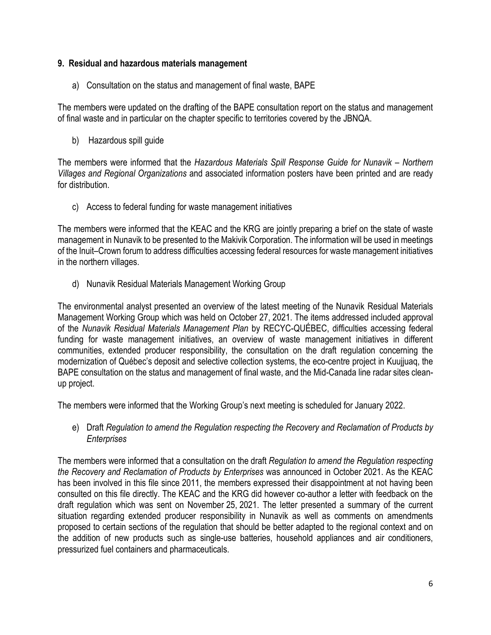### **9. Residual and hazardous materials management**

a) Consultation on the status and management of final waste, BAPE

The members were updated on the drafting of the BAPE consultation report on the status and management of final waste and in particular on the chapter specific to territories covered by the JBNQA.

b) Hazardous spill guide

The members were informed that the *Hazardous Materials Spill Response Guide for Nunavik* – *Northern Villages and Regional Organizations* and associated information posters have been printed and are ready for distribution.

c) Access to federal funding for waste management initiatives

The members were informed that the KEAC and the KRG are jointly preparing a brief on the state of waste management in Nunavik to be presented to the Makivik Corporation. The information will be used in meetings of the Inuit–Crown forum to address difficulties accessing federal resources for waste management initiatives in the northern villages.

d) Nunavik Residual Materials Management Working Group

The environmental analyst presented an overview of the latest meeting of the Nunavik Residual Materials Management Working Group which was held on October 27, 2021. The items addressed included approval of the *Nunavik Residual Materials Management Plan* by RECYC-QUÉBEC, difficulties accessing federal funding for waste management initiatives, an overview of waste management initiatives in different communities, extended producer responsibility, the consultation on the draft regulation concerning the modernization of Québec's deposit and selective collection systems, the eco-centre project in Kuujjuaq, the BAPE consultation on the status and management of final waste, and the Mid-Canada line radar sites cleanup project.

The members were informed that the Working Group's next meeting is scheduled for January 2022.

e) Draft *Regulation to amend the Regulation respecting the Recovery and Reclamation of Products by Enterprises*

The members were informed that a consultation on the draft *Regulation to amend the Regulation respecting the Recovery and Reclamation of Products by Enterprises* was announced in October 2021. As the KEAC has been involved in this file since 2011, the members expressed their disappointment at not having been consulted on this file directly. The KEAC and the KRG did however co-author a letter with feedback on the draft regulation which was sent on November 25, 2021. The letter presented a summary of the current situation regarding extended producer responsibility in Nunavik as well as comments on amendments proposed to certain sections of the regulation that should be better adapted to the regional context and on the addition of new products such as single-use batteries, household appliances and air conditioners, pressurized fuel containers and pharmaceuticals.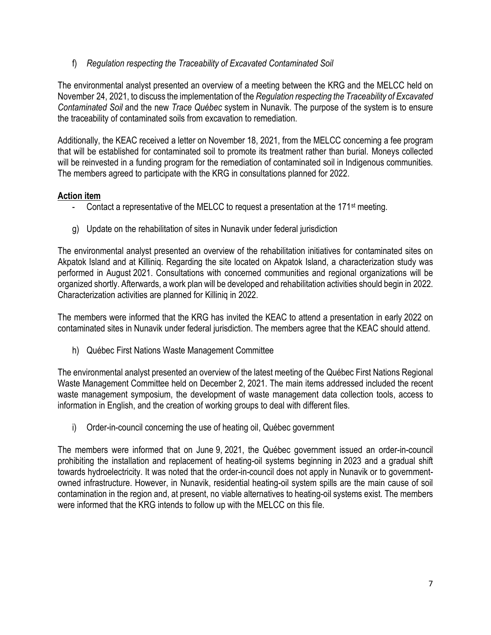f) *Regulation respecting the Traceability of Excavated Contaminated Soil*

The environmental analyst presented an overview of a meeting between the KRG and the MELCC held on November 24, 2021, to discuss the implementation of the *Regulation respecting the Traceability of Excavated Contaminated Soil* and the new *Trace Québec* system in Nunavik. The purpose of the system is to ensure the traceability of contaminated soils from excavation to remediation.

Additionally, the KEAC received a letter on November 18, 2021, from the MELCC concerning a fee program that will be established for contaminated soil to promote its treatment rather than burial. Moneys collected will be reinvested in a funding program for the remediation of contaminated soil in Indigenous communities. The members agreed to participate with the KRG in consultations planned for 2022.

# **Action item**

- Contact a representative of the MELCC to request a presentation at the  $171<sup>st</sup>$  meeting.
- g) Update on the rehabilitation of sites in Nunavik under federal jurisdiction

The environmental analyst presented an overview of the rehabilitation initiatives for contaminated sites on Akpatok Island and at Killiniq. Regarding the site located on Akpatok Island, a characterization study was performed in August 2021. Consultations with concerned communities and regional organizations will be organized shortly. Afterwards, a work plan will be developed and rehabilitation activities should begin in 2022. Characterization activities are planned for Killiniq in 2022.

The members were informed that the KRG has invited the KEAC to attend a presentation in early 2022 on contaminated sites in Nunavik under federal jurisdiction. The members agree that the KEAC should attend.

h) Québec First Nations Waste Management Committee

The environmental analyst presented an overview of the latest meeting of the Québec First Nations Regional Waste Management Committee held on December 2, 2021. The main items addressed included the recent waste management symposium, the development of waste management data collection tools, access to information in English, and the creation of working groups to deal with different files.

i) Order-in-council concerning the use of heating oil, Québec government

The members were informed that on June 9, 2021, the Québec government issued an order-in-council prohibiting the installation and replacement of heating-oil systems beginning in 2023 and a gradual shift towards hydroelectricity. It was noted that the order-in-council does not apply in Nunavik or to governmentowned infrastructure. However, in Nunavik, residential heating-oil system spills are the main cause of soil contamination in the region and, at present, no viable alternatives to heating-oil systems exist. The members were informed that the KRG intends to follow up with the MELCC on this file.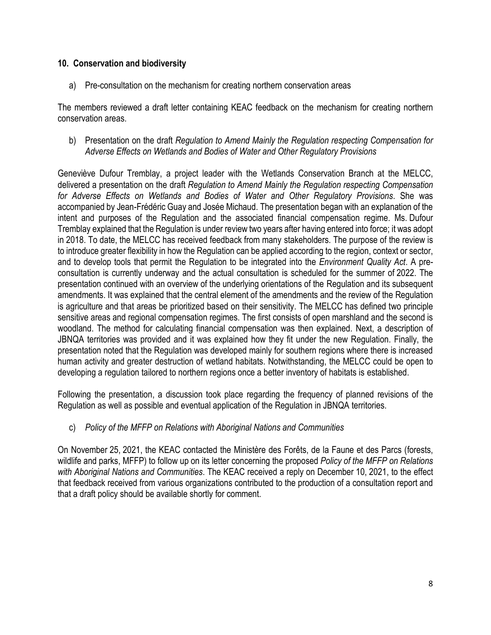### **10. Conservation and biodiversity**

a) Pre-consultation on the mechanism for creating northern conservation areas

The members reviewed a draft letter containing KEAC feedback on the mechanism for creating northern conservation areas.

b) Presentation on the draft *Regulation to Amend Mainly the Regulation respecting Compensation for Adverse Effects on Wetlands and Bodies of Water and Other Regulatory Provisions*

Geneviève Dufour Tremblay, a project leader with the Wetlands Conservation Branch at the MELCC, delivered a presentation on the draft *Regulation to Amend Mainly the Regulation respecting Compensation for Adverse Effects on Wetlands and Bodies of Water and Other Regulatory Provisions*. She was accompanied by Jean-Frédéric Guay and Josée Michaud. The presentation began with an explanation of the intent and purposes of the Regulation and the associated financial compensation regime. Ms. Dufour Tremblay explained that the Regulation is under review two years after having entered into force; it was adopt in 2018. To date, the MELCC has received feedback from many stakeholders. The purpose of the review is to introduce greater flexibility in how the Regulation can be applied according to the region, context or sector, and to develop tools that permit the Regulation to be integrated into the *Environment Quality Act*. A preconsultation is currently underway and the actual consultation is scheduled for the summer of 2022. The presentation continued with an overview of the underlying orientations of the Regulation and its subsequent amendments. It was explained that the central element of the amendments and the review of the Regulation is agriculture and that areas be prioritized based on their sensitivity. The MELCC has defined two principle sensitive areas and regional compensation regimes. The first consists of open marshland and the second is woodland. The method for calculating financial compensation was then explained. Next, a description of JBNQA territories was provided and it was explained how they fit under the new Regulation. Finally, the presentation noted that the Regulation was developed mainly for southern regions where there is increased human activity and greater destruction of wetland habitats. Notwithstanding, the MELCC could be open to developing a regulation tailored to northern regions once a better inventory of habitats is established.

Following the presentation, a discussion took place regarding the frequency of planned revisions of the Regulation as well as possible and eventual application of the Regulation in JBNQA territories.

# c) *Policy of the MFFP on Relations with Aboriginal Nations and Communities*

On November 25, 2021, the KEAC contacted the Ministère des Forêts, de la Faune et des Parcs (forests, wildlife and parks, MFFP) to follow up on its letter concerning the proposed *Policy of the MFFP on Relations with Aboriginal Nations and Communities*. The KEAC received a reply on December 10, 2021, to the effect that feedback received from various organizations contributed to the production of a consultation report and that a draft policy should be available shortly for comment.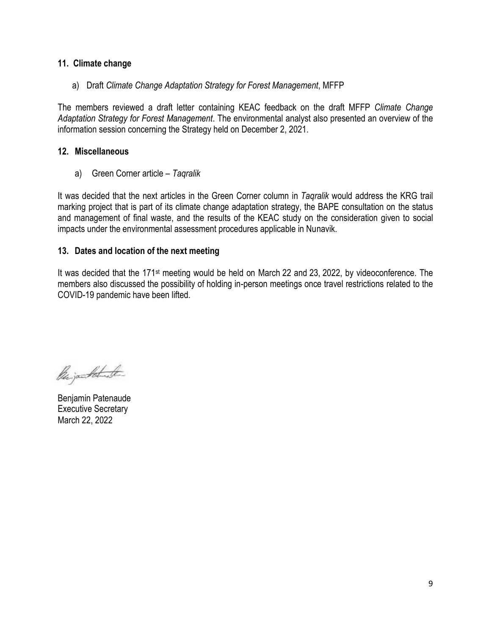### **11. Climate change**

a) Draft *Climate Change Adaptation Strategy for Forest Management*, MFFP

The members reviewed a draft letter containing KEAC feedback on the draft MFFP *Climate Change Adaptation Strategy for Forest Management*. The environmental analyst also presented an overview of the information session concerning the Strategy held on December 2, 2021.

### **12. Miscellaneous**

a) Green Corner article – *Taqralik*

It was decided that the next articles in the Green Corner column in *Taqralik* would address the KRG trail marking project that is part of its climate change adaptation strategy, the BAPE consultation on the status and management of final waste, and the results of the KEAC study on the consideration given to social impacts under the environmental assessment procedures applicable in Nunavik.

### **13. Dates and location of the next meeting**

It was decided that the 171st meeting would be held on March 22 and 23, 2022, by videoconference. The members also discussed the possibility of holding in-person meetings once travel restrictions related to the COVID-19 pandemic have been lifted.

Parjantohunder

Benjamin Patenaude Executive Secretary March 22, 2022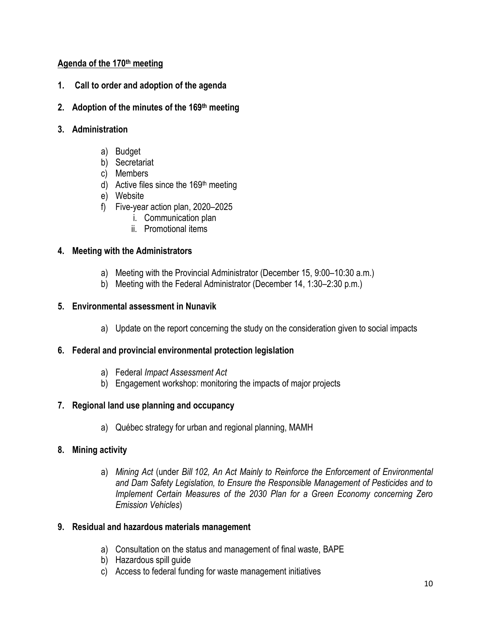# **Agenda of the 170th meeting**

- **1. Call to order and adoption of the agenda**
- **2. Adoption of the minutes of the 169th meeting**
- **3. Administration** 
	- a) Budget
	- b) Secretariat
	- c) Members
	- d) Active files since the 169<sup>th</sup> meeting
	- e) Website
	- f) Five-year action plan, 2020–2025
		- i. Communication plan
		- ii. Promotional items

### **4. Meeting with the Administrators**

- a) Meeting with the Provincial Administrator (December 15, 9:00–10:30 a.m.)
- b) Meeting with the Federal Administrator (December 14, 1:30–2:30 p.m.)

# **5. Environmental assessment in Nunavik**

a) Update on the report concerning the study on the consideration given to social impacts

### **6. Federal and provincial environmental protection legislation**

- a) Federal *Impact Assessment Act*
- b) Engagement workshop: monitoring the impacts of major projects

# **7. Regional land use planning and occupancy**

a) Québec strategy for urban and regional planning, MAMH

### **8. Mining activity**

a) *Mining Act* (under *Bill 102, An Act Mainly to Reinforce the Enforcement of Environmental and Dam Safety Legislation, to Ensure the Responsible Management of Pesticides and to Implement Certain Measures of the 2030 Plan for a Green Economy concerning Zero Emission Vehicles*)

### **9. Residual and hazardous materials management**

- a) Consultation on the status and management of final waste, BAPE
- b) Hazardous spill guide
- c) Access to federal funding for waste management initiatives